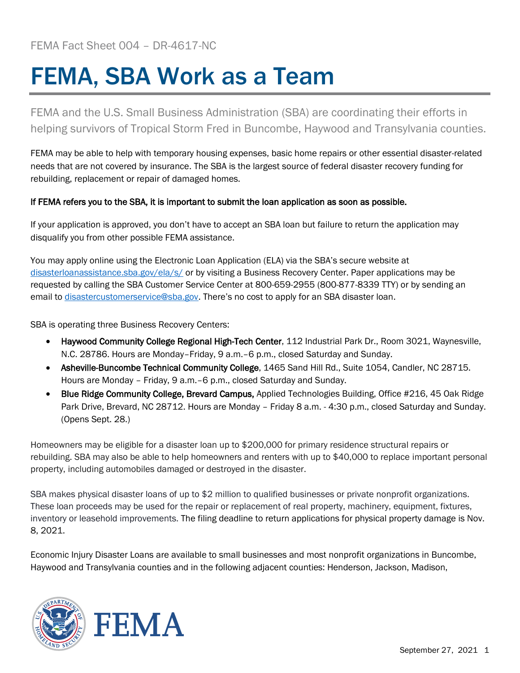## FEMA, SBA Work as a Team

FEMA and the U.S. Small Business Administration (SBA) are coordinating their efforts in helping survivors of Tropical Storm Fred in Buncombe, Haywood and Transylvania counties.

FEMA may be able to help with temporary housing expenses, basic home repairs or other essential disaster-related needs that are not covered by insurance. The SBA is the largest source of federal disaster recovery funding for rebuilding, replacement or repair of damaged homes.

## If FEMA refers you to the SBA, it is important to submit the loan application as soon as possible.

If your application is approved, you don't have to accept an SBA loan but failure to return the application may disqualify you from other possible FEMA assistance.

You may apply online using the Electronic Loan Application (ELA) via the SBA's secure website at [disasterloanassistance.sba.gov/ela/s/](https://disasterloanassistance.sba.gov/ela/s/) or by visiting a Business Recovery Center. Paper applications may be requested by calling the SBA Customer Service Center at 800-659-2955 (800-877-8339 TTY) or by sending an email to [disastercustomerservice@sba.gov.](mailto:disastercustomerservice@sba.gov) There's no cost to apply for an SBA disaster loan.

SBA is operating three Business Recovery Centers:

- Haywood Community College Regional High-Tech Center, 112 Industrial Park Dr., Room 3021, Waynesville, N.C. 28786. Hours are Monday–Friday, 9 a.m.–6 p.m., closed Saturday and Sunday.
- Asheville-Buncombe Technical Community College, 1465 Sand Hill Rd., Suite 1054, Candler, NC 28715. Hours are Monday – Friday, 9 a.m.–6 p.m., closed Saturday and Sunday.
- Blue Ridge Community College, Brevard Campus, Applied Technologies Building, Office #216, 45 Oak Ridge Park Drive, Brevard, NC 28712. Hours are Monday – Friday 8 a.m. - 4:30 p.m., closed Saturday and Sunday. (Opens Sept. 28.)

Homeowners may be eligible for a disaster loan up to \$200,000 for primary residence structural repairs or rebuilding. SBA may also be able to help homeowners and renters with up to \$40,000 to replace important personal property, including automobiles damaged or destroyed in the disaster.

SBA makes physical disaster loans of up to \$2 million to qualified businesses or private nonprofit organizations. These loan proceeds may be used for the repair or replacement of real property, machinery, equipment, fixtures, inventory or leasehold improvements. The filing deadline to return applications for physical property damage is Nov. 8, 2021.

Economic Injury Disaster Loans are available to small businesses and most nonprofit organizations in Buncombe, Haywood and Transylvania counties and in the following adjacent counties: Henderson, Jackson, Madison,